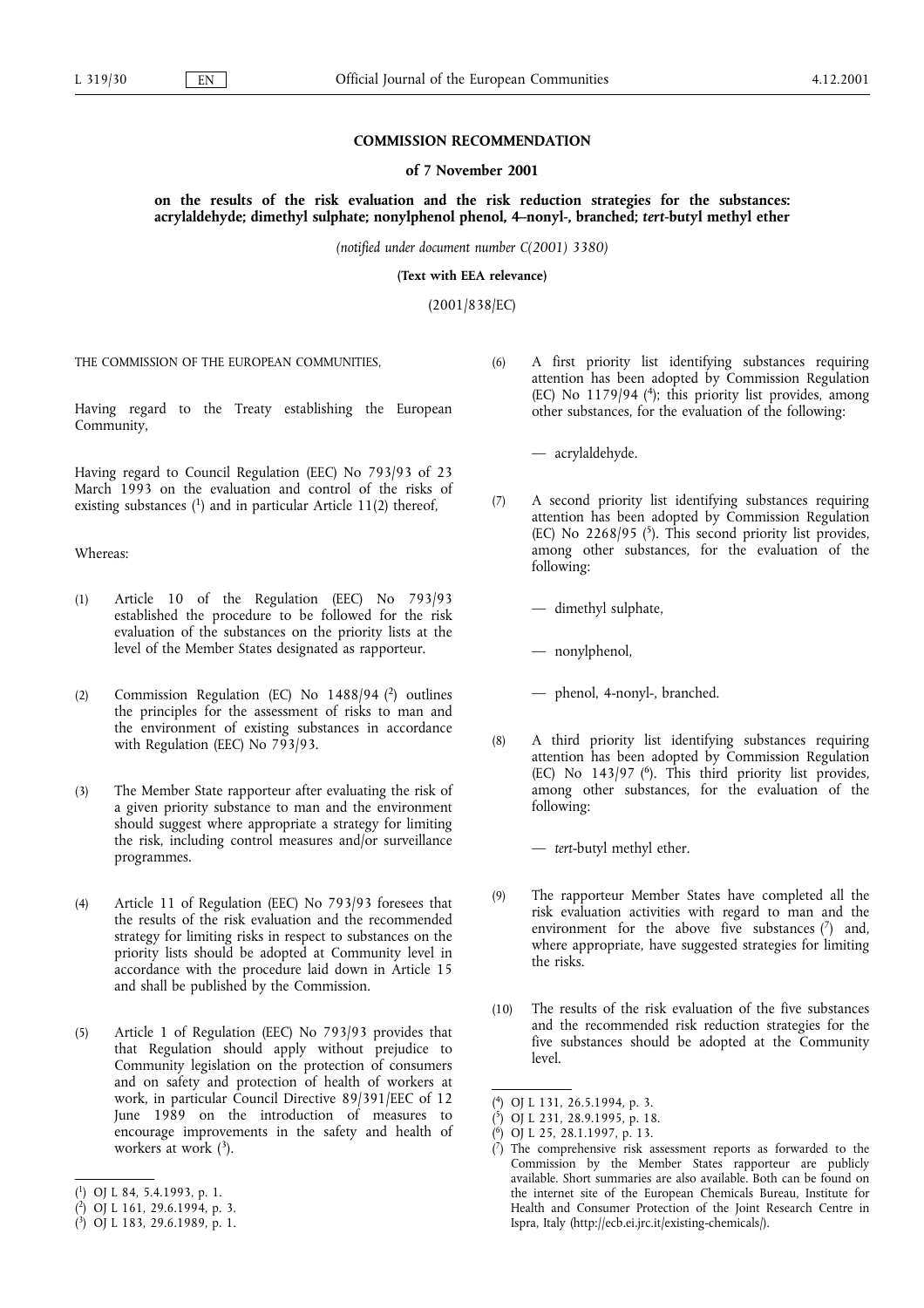# COMMISSION RECOMMENDATION

#### of 7 November 2001

on the results of the risk evaluation and the risk reduction strategies for the substances: acrylaldehyde; dimethyl sulphate; nonylphenol phenol, 4nonyl-, branched; tert-butyl methyl ether

(notified under document number C(2001) 3380)

(Text with EEA relevance)

(2001/838/EC)

THE COMMISSION OF THE EUROPEAN COMMUNITIES,

Having regard to the Treaty establishing the European Community,

Having regard to Council Regulation (EEC) No 793/93 of 23 March 1993 on the evaluation and control of the risks of existing substances  $(1)$  and in particular Article 11(2) thereof,

Whereas:

- (1) Article 10 of the Regulation (EEC) No 793/93 established the procedure to be followed for the risk evaluation of the substances on the priority lists at the level of the Member States designated as rapporteur.
- (2) Commission Regulation (EC) No 1488/94 (2) outlines the principles for the assessment of risks to man and the environment of existing substances in accordance with Regulation (EEC) No 793/93.
- (3) The Member State rapporteur after evaluating the risk of a given priority substance to man and the environment should suggest where appropriate a strategy for limiting the risk, including control measures and/or surveillance programmes.
- (4) Article 11 of Regulation (EEC) No 793/93 foresees that the results of the risk evaluation and the recommended strategy for limiting risks in respect to substances on the priority lists should be adopted at Community level in accordance with the procedure laid down in Article 15 and shall be published by the Commission.
- (5) Article 1 of Regulation (EEC) No 793/93 provides that that Regulation should apply without prejudice to Community legislation on the protection of consumers and on safety and protection of health of workers at work, in particular Council Directive 89/391/EEC of 12 June 1989 on the introduction of measures to encourage improvements in the safety and health of workers at work  $(3)$ .
- ( 1) OJ L 84, 5.4.1993, p. 1.
- (6) A first priority list identifying substances requiring attention has been adopted by Commission Regulation (EC) No  $1179/94$  (<sup>4</sup>); this priority list provides, among other substances, for the evaluation of the following:
	- acrylaldehyde.
- (7) A second priority list identifying substances requiring attention has been adopted by Commission Regulation (EC) No  $2268/95$  (<sup>5</sup>). This second priority list provides, among other substances, for the evaluation of the following:
	- dimethyl sulphate,
	- nonylphenol,
	- phenol, 4-nonyl-, branched.
- (8) A third priority list identifying substances requiring attention has been adopted by Commission Regulation (EC) No  $143/97$  ( $^6$ ). This third priority list provides, among other substances, for the evaluation of the following:

- tert-butyl methyl ether.

- (9) The rapporteur Member States have completed all the risk evaluation activities with regard to man and the environment for the above five substances  $\binom{7}{1}$  and, where appropriate, have suggested strategies for limiting the risks.
- (10) The results of the risk evaluation of the five substances and the recommended risk reduction strategies for the five substances should be adopted at the Community level.

<sup>(</sup> 2) OJ L 161, 29.6.1994, p. 3.

<sup>(</sup> 3) OJ L 183, 29.6.1989, p. 1.

<sup>(</sup> 4) OJ L 131, 26.5.1994, p. 3.

<sup>(</sup> 5) OJ L 231, 28.9.1995, p. 18.

<sup>(</sup> 6) OJ L 25, 28.1.1997, p. 13.

<sup>(</sup> 7) The comprehensive risk assessment reports as forwarded to the Commission by the Member States rapporteur are publicly available. Short summaries are also available. Both can be found on the internet site of the European Chemicals Bureau, Institute for Health and Consumer Protection of the Joint Research Centre in Ispra, Italy (http://ecb.ei.jrc.it/existing-chemicals/).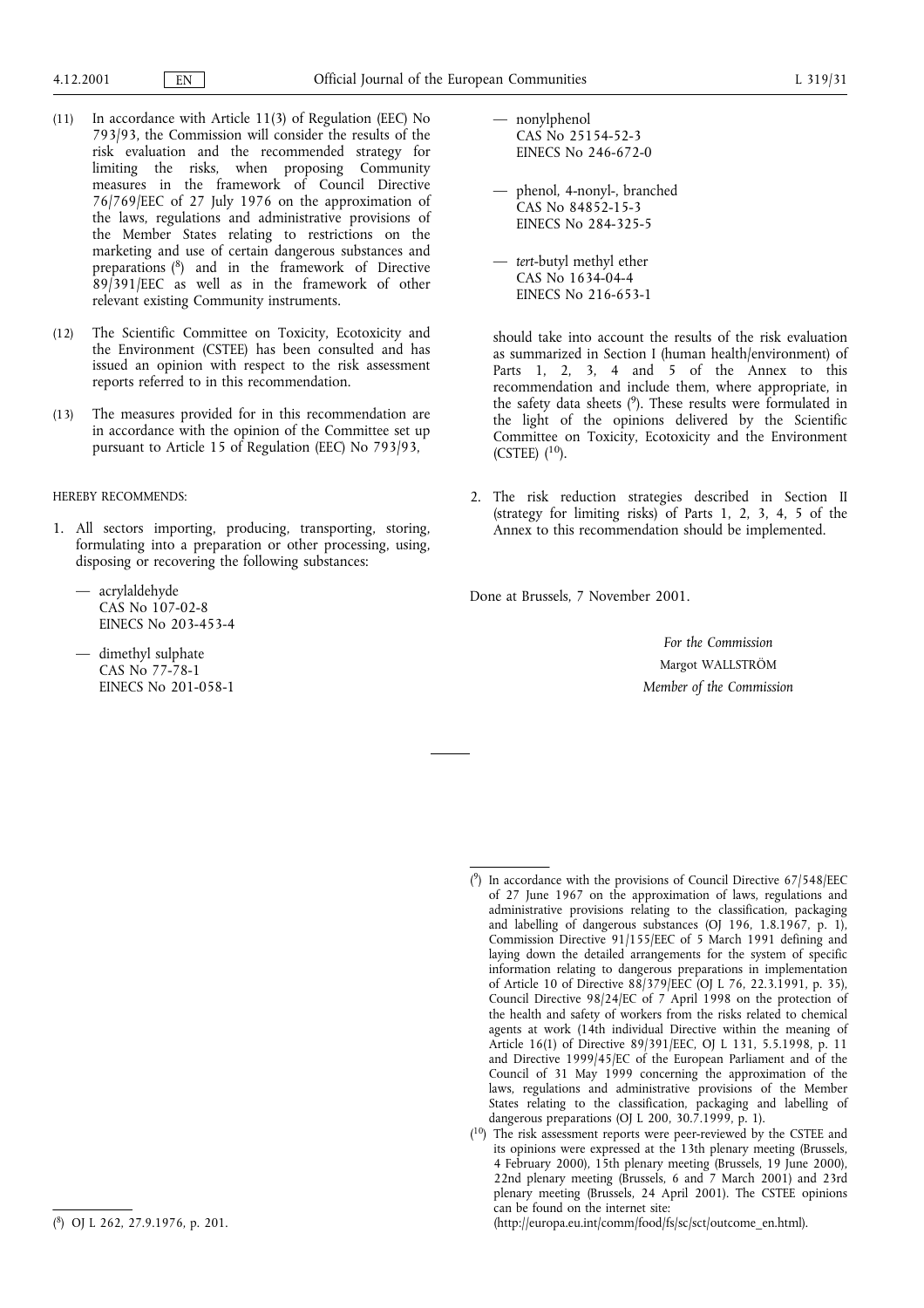- (11) In accordance with Article 11(3) of Regulation (EEC) No 793/93, the Commission will consider the results of the risk evaluation and the recommended strategy for limiting the risks, when proposing Community measures in the framework of Council Directive 76/769/EEC of 27 July 1976 on the approximation of the laws, regulations and administrative provisions of the Member States relating to restrictions on the marketing and use of certain dangerous substances and preparations (8) and in the framework of Directive 89/391/EEC as well as in the framework of other relevant existing Community instruments.
- (12) The Scientific Committee on Toxicity, Ecotoxicity and the Environment (CSTEE) has been consulted and has issued an opinion with respect to the risk assessment reports referred to in this recommendation.
- (13) The measures provided for in this recommendation are in accordance with the opinion of the Committee set up pursuant to Article 15 of Regulation (EEC) No 793/93,

#### HEREBY RECOMMENDS:

- 1. All sectors importing, producing, transporting, storing, formulating into a preparation or other processing, using, disposing or recovering the following substances:
	- acrylaldehyde CAS No 107-02-8 EINECS No 203-453-4
	- dimethyl sulphate CAS No 77-78-1 EINECS No 201-058-1
- phenol, 4-nonyl-, branched CAS No 84852-15-3 EINECS No 284-325-5
- $-$  tert-butyl methyl ether CAS No 1634-04-4 EINECS No 216-653-1

should take into account the results of the risk evaluation as summarized in Section I (human health/environment) of Parts 1, 2, 3, 4 and 5 of the Annex to this recommendation and include them, where appropriate, in the safety data sheets  $(9)$ . These results were formulated in the light of the opinions delivered by the Scientific Committee on Toxicity, Ecotoxicity and the Environment  $(CSTER)$   $(^{10})$ .

2. The risk reduction strategies described in Section II (strategy for limiting risks) of Parts 1, 2, 3, 4, 5 of the Annex to this recommendation should be implemented.

Done at Brussels, 7 November 2001.

For the Commission Margot WALLSTRÖM Member of the Commission

nonylphenol CAS No 25154-52-3 EINECS No 246-672-0

<sup>(</sup> 9) In accordance with the provisions of Council Directive 67/548/EEC of 27 June 1967 on the approximation of laws, regulations and administrative provisions relating to the classification, packaging and labelling of dangerous substances (OJ 196, 1.8.1967, p. 1), Commission Directive 91/155/EEC of 5 March 1991 defining and laying down the detailed arrangements for the system of specific information relating to dangerous preparations in implementation of Article 10 of Directive 88/379/EEC (OJ L 76, 22.3.1991, p. 35), Council Directive 98/24/EC of 7 April 1998 on the protection of the health and safety of workers from the risks related to chemical agents at work (14th individual Directive within the meaning of Article 16(1) of Directive 89/391/EEC, OJ L 131, 5.5.1998, p. 11 and Directive 1999/45/EC of the European Parliament and of the Council of 31 May 1999 concerning the approximation of the laws, regulations and administrative provisions of the Member States relating to the classification, packaging and labelling of dangerous preparations (OJ L 200, 30.7.1999, p. 1).

<sup>(</sup> 10) The risk assessment reports were peer-reviewed by the CSTEE and its opinions were expressed at the 13th plenary meeting (Brussels, 4 February 2000), 15th plenary meeting (Brussels, 19 June 2000), 22nd plenary meeting (Brussels, 6 and 7 March 2001) and 23rd plenary meeting (Brussels, 24 April 2001). The CSTEE opinions can be found on the internet site: (http://europa.eu.int/comm/food/fs/sc/sct/outcome\_en.html).

<sup>(</sup> 8) OJ L 262, 27.9.1976, p. 201.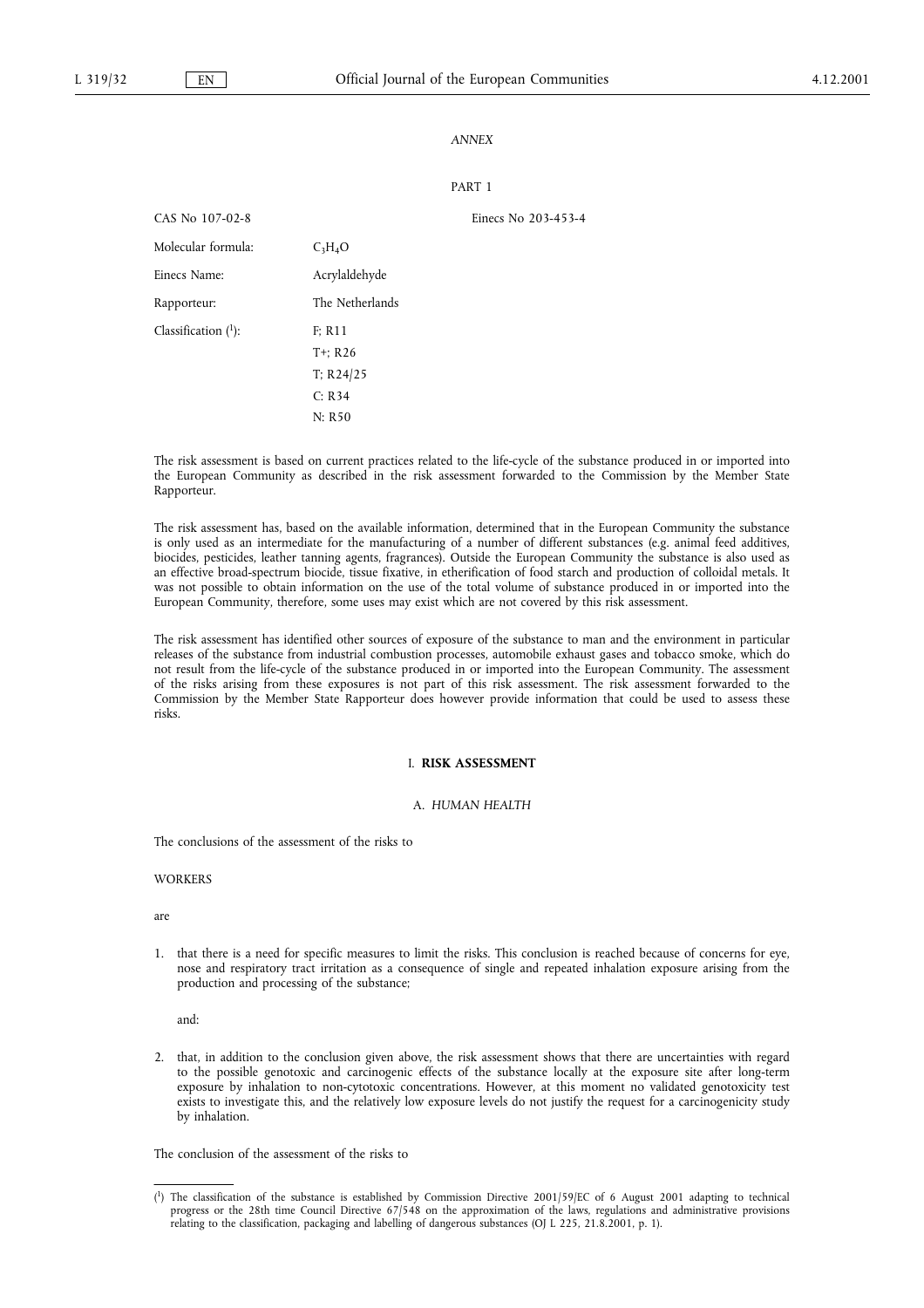#### **ANNEX**

#### PART 1

CAS No 107-02-8 Einecs No 203-453-4 Molecular formula:  $C_3H_4O$ Einecs Name: Acrylaldehyde Rapporteur: The Netherlands Classification  $(^{1})$ : F; R11 T+; R26 T; R24/25 C: R34 N: R50

The risk assessment is based on current practices related to the life-cycle of the substance produced in or imported into the European Community as described in the risk assessment forwarded to the Commission by the Member State Rapporteur.

The risk assessment has, based on the available information, determined that in the European Community the substance is only used as an intermediate for the manufacturing of a number of different substances (e.g. animal feed additives, biocides, pesticides, leather tanning agents, fragrances). Outside the European Community the substance is also used as an effective broad-spectrum biocide, tissue fixative, in etherification of food starch and production of colloidal metals. It was not possible to obtain information on the use of the total volume of substance produced in or imported into the European Community, therefore, some uses may exist which are not covered by this risk assessment.

The risk assessment has identified other sources of exposure of the substance to man and the environment in particular releases of the substance from industrial combustion processes, automobile exhaust gases and tobacco smoke, which do not result from the life-cycle of the substance produced in or imported into the European Community. The assessment of the risks arising from these exposures is not part of this risk assessment. The risk assessment forwarded to the Commission by the Member State Rapporteur does however provide information that could be used to assess these risks.

# I. RISK ASSESSMENT

# A. HUMAN HEALTH

The conclusions of the assessment of the risks to

**WORKERS** 

are

1. that there is a need for specific measures to limit the risks. This conclusion is reached because of concerns for eye, nose and respiratory tract irritation as a consequence of single and repeated inhalation exposure arising from the production and processing of the substance;

and:

2. that, in addition to the conclusion given above, the risk assessment shows that there are uncertainties with regard to the possible genotoxic and carcinogenic effects of the substance locally at the exposure site after long-term exposure by inhalation to non-cytotoxic concentrations. However, at this moment no validated genotoxicity test exists to investigate this, and the relatively low exposure levels do not justify the request for a carcinogenicity study by inhalation.

The conclusion of the assessment of the risks to

<sup>(</sup> 1) The classification of the substance is established by Commission Directive 2001/59/EC of 6 August 2001 adapting to technical progress or the 28th time Council Directive 67/548 on the approximation of the laws, regulations and administrative provisions relating to the classification, packaging and labelling of dangerous substances (OJ L 225, 21.8.2001, p. 1).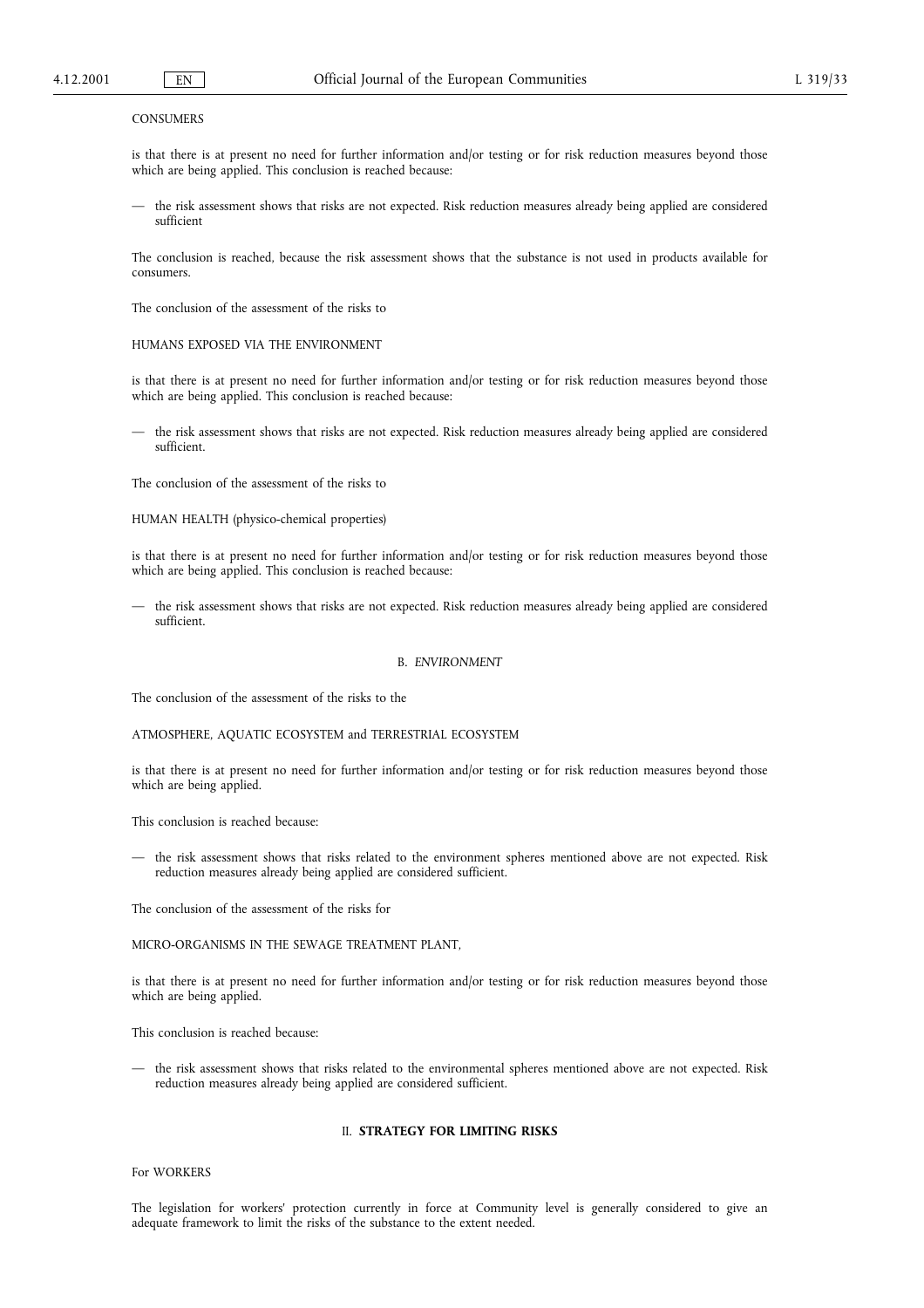## **CONSUMERS**

is that there is at present no need for further information and/or testing or for risk reduction measures beyond those which are being applied. This conclusion is reached because:

 the risk assessment shows that risks are not expected. Risk reduction measures already being applied are considered sufficient

The conclusion is reached, because the risk assessment shows that the substance is not used in products available for consumers.

The conclusion of the assessment of the risks to

HUMANS EXPOSED VIA THE ENVIRONMENT

is that there is at present no need for further information and/or testing or for risk reduction measures beyond those which are being applied. This conclusion is reached because:

 the risk assessment shows that risks are not expected. Risk reduction measures already being applied are considered sufficient.

The conclusion of the assessment of the risks to

HUMAN HEALTH (physico-chemical properties)

is that there is at present no need for further information and/or testing or for risk reduction measures beyond those which are being applied. This conclusion is reached because:

 the risk assessment shows that risks are not expected. Risk reduction measures already being applied are considered sufficient.

#### B. ENVIRONMENT

The conclusion of the assessment of the risks to the

ATMOSPHERE, AQUATIC ECOSYSTEM and TERRESTRIAL ECOSYSTEM

is that there is at present no need for further information and/or testing or for risk reduction measures beyond those which are being applied.

This conclusion is reached because:

- the risk assessment shows that risks related to the environment spheres mentioned above are not expected. Risk reduction measures already being applied are considered sufficient.

The conclusion of the assessment of the risks for

MICRO-ORGANISMS IN THE SEWAGE TREATMENT PLANT,

is that there is at present no need for further information and/or testing or for risk reduction measures beyond those which are being applied.

This conclusion is reached because:

 the risk assessment shows that risks related to the environmental spheres mentioned above are not expected. Risk reduction measures already being applied are considered sufficient.

# II. STRATEGY FOR LIMITING RISKS

For WORKERS

The legislation for workers' protection currently in force at Community level is generally considered to give an adequate framework to limit the risks of the substance to the extent needed.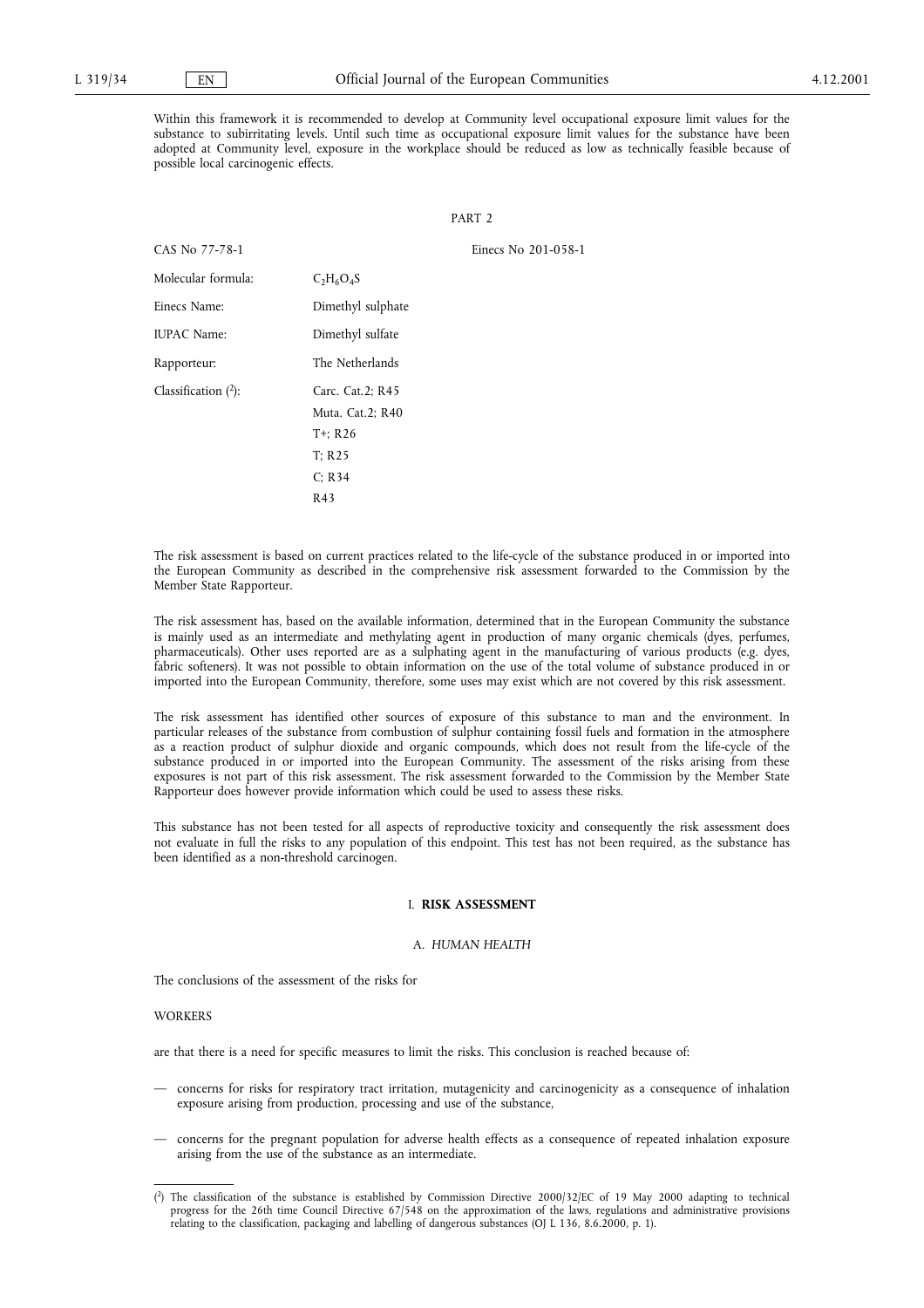Within this framework it is recommended to develop at Community level occupational exposure limit values for the substance to subirritating levels. Until such time as occupational exposure limit values for the substance have been adopted at Community level, exposure in the workplace should be reduced as low as technically feasible because of possible local carcinogenic effects.

# PART 2

CAS No 77-78-1 Einecs No 201-058-1

| Molecular formula:     | $C_2H_6O_4S$      |  |
|------------------------|-------------------|--|
| Einecs Name:           | Dimethyl sulphate |  |
| IUPAC Name:            | Dimethyl sulfate  |  |
| Rapporteur:            | The Netherlands   |  |
| Classification $(2)$ : | Carc. Cat.2; R45  |  |
|                        | Muta. Cat.2; R40  |  |
|                        | $T^+$ : R26       |  |
|                        | T: R25            |  |
|                        | C: R34            |  |
|                        | R43               |  |

The risk assessment is based on current practices related to the life-cycle of the substance produced in or imported into the European Community as described in the comprehensive risk assessment forwarded to the Commission by the Member State Rapporteur.

The risk assessment has, based on the available information, determined that in the European Community the substance is mainly used as an intermediate and methylating agent in production of many organic chemicals (dyes, perfumes, pharmaceuticals). Other uses reported are as a sulphating agent in the manufacturing of various products (e.g. dyes, fabric softeners). It was not possible to obtain information on the use of the total volume of substance produced in or imported into the European Community, therefore, some uses may exist which are not covered by this risk assessment.

The risk assessment has identified other sources of exposure of this substance to man and the environment. In particular releases of the substance from combustion of sulphur containing fossil fuels and formation in the atmosphere as a reaction product of sulphur dioxide and organic compounds, which does not result from the life-cycle of the substance produced in or imported into the European Community. The assessment of the risks arising from these exposures is not part of this risk assessment. The risk assessment forwarded to the Commission by the Member State Rapporteur does however provide information which could be used to assess these risks.

This substance has not been tested for all aspects of reproductive toxicity and consequently the risk assessment does not evaluate in full the risks to any population of this endpoint. This test has not been required, as the substance has been identified as a non-threshold carcinogen.

# I. RISK ASSESSMENT

#### A. HUMAN HEALTH

The conclusions of the assessment of the risks for

#### **WORKERS**

are that there is a need for specific measures to limit the risks. This conclusion is reached because of:

- concerns for risks for respiratory tract irritation, mutagenicity and carcinogenicity as a consequence of inhalation exposure arising from production, processing and use of the substance,
- concerns for the pregnant population for adverse health effects as a consequence of repeated inhalation exposure arising from the use of the substance as an intermediate.

<sup>(</sup> 2) The classification of the substance is established by Commission Directive 2000/32/EC of 19 May 2000 adapting to technical progress for the 26th time Council Directive 67/548 on the approximation of the laws, regulations and administrative provisions relating to the classification, packaging and labelling of dangerous substances (OJ L 136, 8.6.2000, p. 1).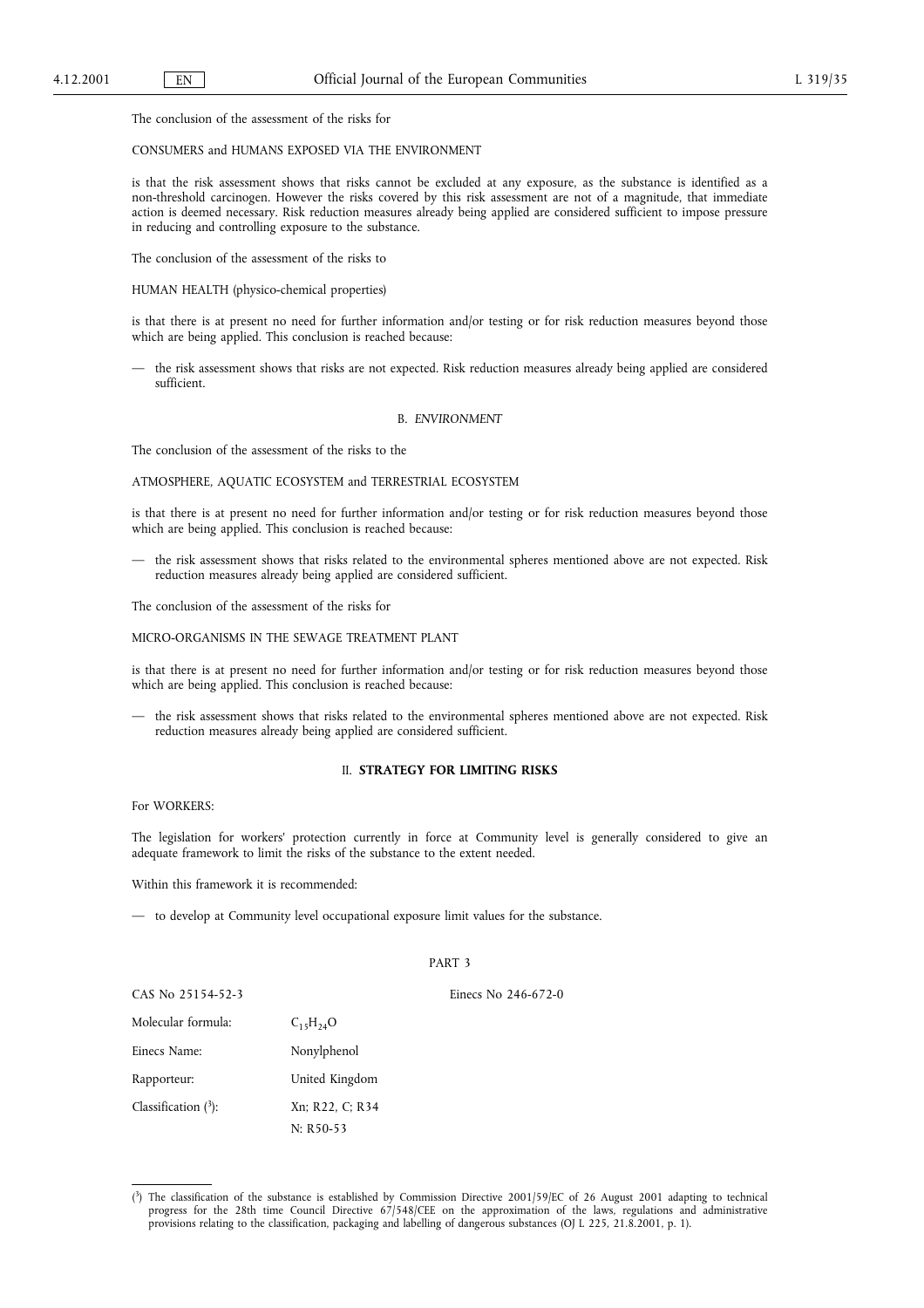The conclusion of the assessment of the risks for

# CONSUMERS and HUMANS EXPOSED VIA THE ENVIRONMENT

is that the risk assessment shows that risks cannot be excluded at any exposure, as the substance is identified as a non-threshold carcinogen. However the risks covered by this risk assessment are not of a magnitude, that immediate action is deemed necessary. Risk reduction measures already being applied are considered sufficient to impose pressure in reducing and controlling exposure to the substance.

The conclusion of the assessment of the risks to

HUMAN HEALTH (physico-chemical properties)

is that there is at present no need for further information and/or testing or for risk reduction measures beyond those which are being applied. This conclusion is reached because:

 the risk assessment shows that risks are not expected. Risk reduction measures already being applied are considered sufficient.

#### B. ENVIRONMENT

The conclusion of the assessment of the risks to the

### ATMOSPHERE, AQUATIC ECOSYSTEM and TERRESTRIAL ECOSYSTEM

is that there is at present no need for further information and/or testing or for risk reduction measures beyond those which are being applied. This conclusion is reached because:

 the risk assessment shows that risks related to the environmental spheres mentioned above are not expected. Risk reduction measures already being applied are considered sufficient.

The conclusion of the assessment of the risks for

## MICRO-ORGANISMS IN THE SEWAGE TREATMENT PLANT

is that there is at present no need for further information and/or testing or for risk reduction measures beyond those which are being applied. This conclusion is reached because:

 the risk assessment shows that risks related to the environmental spheres mentioned above are not expected. Risk reduction measures already being applied are considered sufficient.

## II. STRATEGY FOR LIMITING RISKS

For WORKERS:

The legislation for workers' protection currently in force at Community level is generally considered to give an adequate framework to limit the risks of the substance to the extent needed.

Within this framework it is recommended:

 $-$  to develop at Community level occupational exposure limit values for the substance.

## PART 3

CAS No 25154-52-3 Einecs No 246-672-0

| Molecular formula:      | $C_{15}H_{24}O$ |  |
|-------------------------|-----------------|--|
| Finecs Name:            | Nonylphenol     |  |
| Rapporteur:             | United Kingdom  |  |
| Classification $(^3)$ : | Xn; R22, C; R34 |  |
|                         | $N: R50-53$     |  |

<sup>(</sup> 3) The classification of the substance is established by Commission Directive 2001/59/EC of 26 August 2001 adapting to technical progress for the 28th time Council Directive 67/548/CEE on the approximation of the laws, regulations and administrative provisions relating to the classification, packaging and labelling of dangerous substances (OJ L 225, 21.8.2001, p. 1).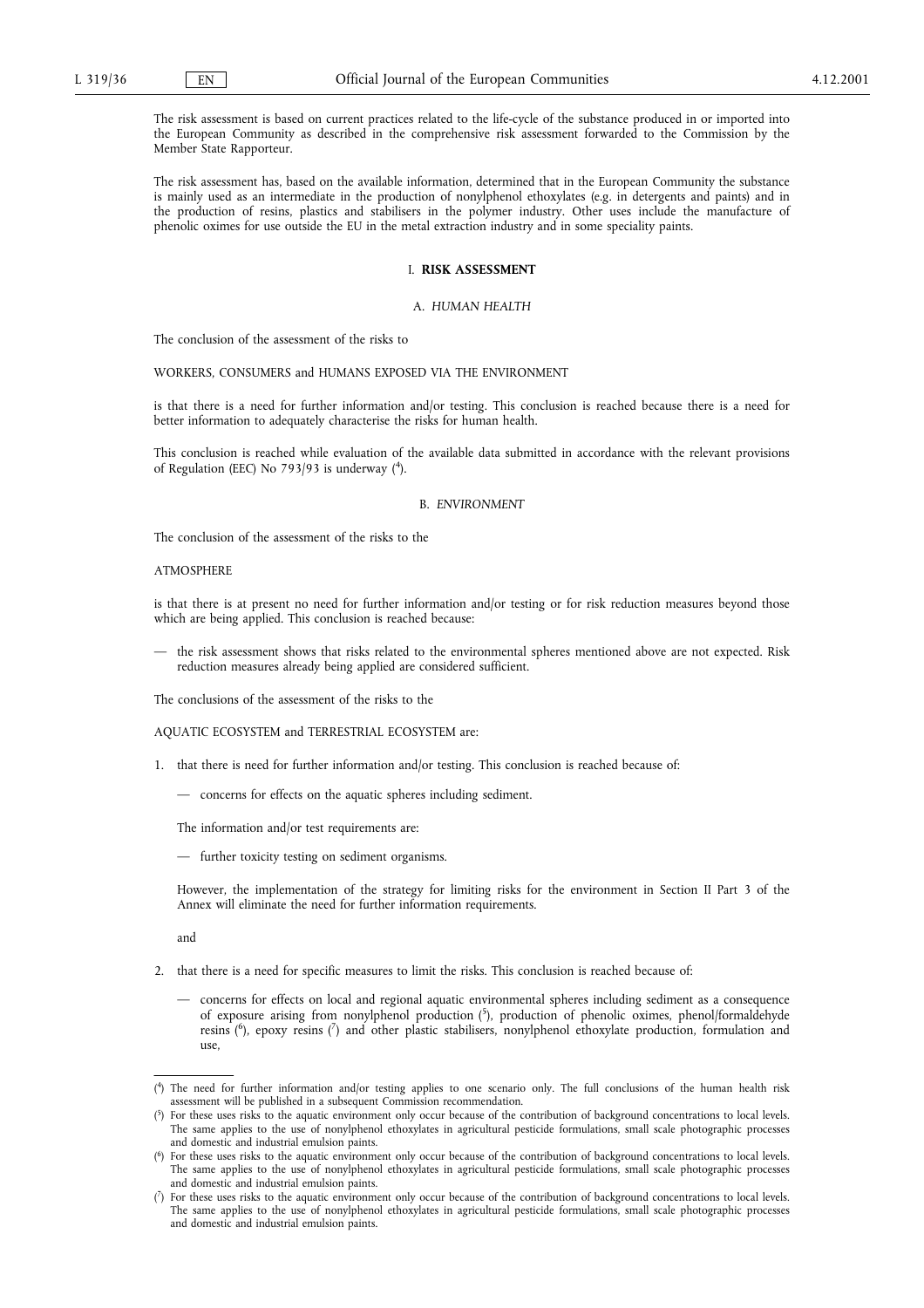The risk assessment is based on current practices related to the life-cycle of the substance produced in or imported into the European Community as described in the comprehensive risk assessment forwarded to the Commission by the Member State Rapporteur.

The risk assessment has, based on the available information, determined that in the European Community the substance is mainly used as an intermediate in the production of nonylphenol ethoxylates (e.g. in detergents and paints) and in the production of resins, plastics and stabilisers in the polymer industry. Other uses include the manufacture of phenolic oximes for use outside the EU in the metal extraction industry and in some speciality paints.

# I. RISK ASSESSMENT

#### A. HUMAN HEALTH

The conclusion of the assessment of the risks to

### WORKERS, CONSUMERS and HUMANS EXPOSED VIA THE ENVIRONMENT

is that there is a need for further information and/or testing. This conclusion is reached because there is a need for better information to adequately characterise the risks for human health.

This conclusion is reached while evaluation of the available data submitted in accordance with the relevant provisions of Regulation (EEC) No 793/93 is underway (4).

#### B. ENVIRONMENT

The conclusion of the assessment of the risks to the

### ATMOSPHERE

is that there is at present no need for further information and/or testing or for risk reduction measures beyond those which are being applied. This conclusion is reached because:

- the risk assessment shows that risks related to the environmental spheres mentioned above are not expected. Risk reduction measures already being applied are considered sufficient.

The conclusions of the assessment of the risks to the

AQUATIC ECOSYSTEM and TERRESTRIAL ECOSYSTEM are:

- 1. that there is need for further information and/or testing. This conclusion is reached because of:
	- concerns for effects on the aquatic spheres including sediment.

The information and/or test requirements are:

- further toxicity testing on sediment organisms.

However, the implementation of the strategy for limiting risks for the environment in Section II Part 3 of the Annex will eliminate the need for further information requirements.

and

- 2. that there is a need for specific measures to limit the risks. This conclusion is reached because of:
	- concerns for effects on local and regional aquatic environmental spheres including sediment as a consequence of exposure arising from nonylphenol production (5), production of phenolic oximes, phenol/formaldehyde resins (6), epoxy resins (7) and other plastic stabilisers, nonylphenol ethoxylate production, formulation and use,

<sup>(</sup> 4) The need for further information and/or testing applies to one scenario only. The full conclusions of the human health risk assessment will be published in a subsequent Commission recommendation.

<sup>(</sup> 5) For these uses risks to the aquatic environment only occur because of the contribution of background concentrations to local levels. The same applies to the use of nonylphenol ethoxylates in agricultural pesticide formulations, small scale photographic processes and domestic and industrial emulsion paints.

<sup>(</sup> 6) For these uses risks to the aquatic environment only occur because of the contribution of background concentrations to local levels. The same applies to the use of nonylphenol ethoxylates in agricultural pesticide formulations, small scale photographic processes and domestic and industrial emulsion paints.

<sup>(</sup> 7) For these uses risks to the aquatic environment only occur because of the contribution of background concentrations to local levels. The same applies to the use of nonylphenol ethoxylates in agricultural pesticide formulations, small scale photographic processes and domestic and industrial emulsion paints.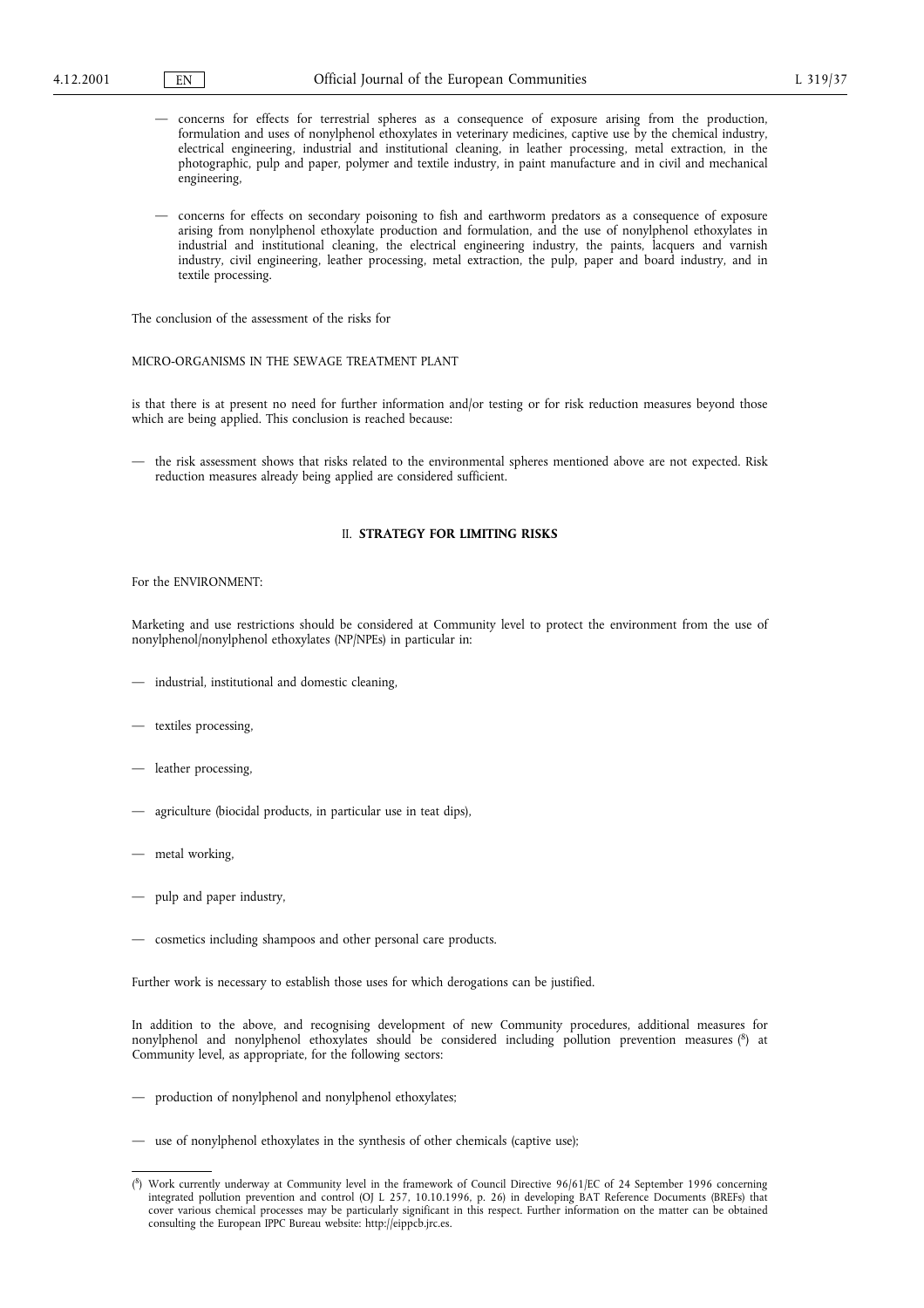- concerns for effects for terrestrial spheres as a consequence of exposure arising from the production, formulation and uses of nonylphenol ethoxylates in veterinary medicines, captive use by the chemical industry, electrical engineering, industrial and institutional cleaning, in leather processing, metal extraction, in the photographic, pulp and paper, polymer and textile industry, in paint manufacture and in civil and mechanical engineering,
- concerns for effects on secondary poisoning to fish and earthworm predators as a consequence of exposure arising from nonylphenol ethoxylate production and formulation, and the use of nonylphenol ethoxylates in industrial and institutional cleaning, the electrical engineering industry, the paints, lacquers and varnish industry, civil engineering, leather processing, metal extraction, the pulp, paper and board industry, and in textile processing.

The conclusion of the assessment of the risks for

#### MICRO-ORGANISMS IN THE SEWAGE TREATMENT PLANT

is that there is at present no need for further information and/or testing or for risk reduction measures beyond those which are being applied. This conclusion is reached because:

 the risk assessment shows that risks related to the environmental spheres mentioned above are not expected. Risk reduction measures already being applied are considered sufficient.

### II. STRATEGY FOR LIMITING RISKS

For the ENVIRONMENT:

Marketing and use restrictions should be considered at Community level to protect the environment from the use of nonylphenol/nonylphenol ethoxylates (NP/NPEs) in particular in:

- industrial, institutional and domestic cleaning,
- textiles processing,
- leather processing,
- agriculture (biocidal products, in particular use in teat dips),
- metal working,
- pulp and paper industry,
- cosmetics including shampoos and other personal care products.

Further work is necessary to establish those uses for which derogations can be justified.

In addition to the above, and recognising development of new Community procedures, additional measures for nonylphenol and nonylphenol ethoxylates should be considered including pollution prevention measures (8) at Community level, as appropriate, for the following sectors:

- production of nonylphenol and nonylphenol ethoxylates;
- use of nonylphenol ethoxylates in the synthesis of other chemicals (captive use);

<sup>(</sup> 8) Work currently underway at Community level in the framework of Council Directive 96/61/EC of 24 September 1996 concerning integrated pollution prevention and control (OJ L 257, 10.10.1996, p. 26) in developing BAT Reference Documents (BREFs) that cover various chemical processes may be particularly significant in this respect. Further information on the matter can be obtained consulting the European IPPC Bureau website: http://eippcb.jrc.es.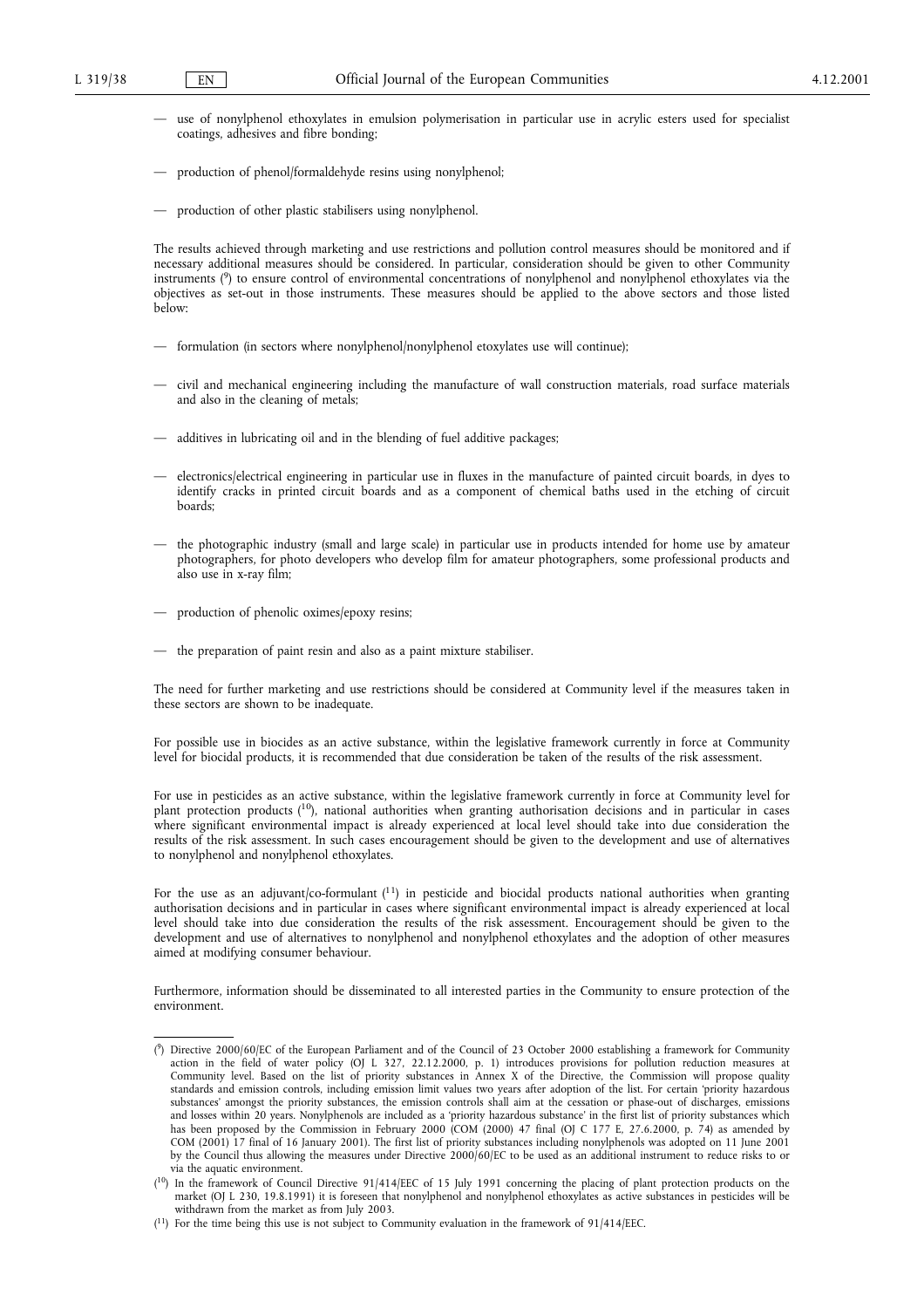- use of nonylphenol ethoxylates in emulsion polymerisation in particular use in acrylic esters used for specialist coatings, adhesives and fibre bonding;
- production of phenol/formaldehyde resins using nonylphenol;
- production of other plastic stabilisers using nonylphenol.

The results achieved through marketing and use restrictions and pollution control measures should be monitored and if necessary additional measures should be considered. In particular, consideration should be given to other Community instruments (9) to ensure control of environmental concentrations of nonylphenol and nonylphenol ethoxylates via the objectives as set-out in those instruments. These measures should be applied to the above sectors and those listed below:

- formulation (in sectors where nonylphenol/nonylphenol etoxylates use will continue);
- civil and mechanical engineering including the manufacture of wall construction materials, road surface materials and also in the cleaning of metals;
- additives in lubricating oil and in the blending of fuel additive packages;
- electronics/electrical engineering in particular use in fluxes in the manufacture of painted circuit boards, in dyes to identify cracks in printed circuit boards and as a component of chemical baths used in the etching of circuit boards;
- $-$  the photographic industry (small and large scale) in particular use in products intended for home use by amateur photographers, for photo developers who develop film for amateur photographers, some professional products and also use in x-ray film;
- production of phenolic oximes/epoxy resins;
- $-$  the preparation of paint resin and also as a paint mixture stabiliser.

The need for further marketing and use restrictions should be considered at Community level if the measures taken in these sectors are shown to be inadequate.

For possible use in biocides as an active substance, within the legislative framework currently in force at Community level for biocidal products, it is recommended that due consideration be taken of the results of the risk assessment.

For use in pesticides as an active substance, within the legislative framework currently in force at Community level for plant protection products (10), national authorities when granting authorisation decisions and in particular in cases where significant environmental impact is already experienced at local level should take into due consideration the results of the risk assessment. In such cases encouragement should be given to the development and use of alternatives to nonylphenol and nonylphenol ethoxylates.

For the use as an adjuvant/co-formulant  $(11)$  in pesticide and biocidal products national authorities when granting authorisation decisions and in particular in cases where significant environmental impact is already experienced at local level should take into due consideration the results of the risk assessment. Encouragement should be given to the development and use of alternatives to nonylphenol and nonylphenol ethoxylates and the adoption of other measures aimed at modifying consumer behaviour.

Furthermore, information should be disseminated to all interested parties in the Community to ensure protection of the environment.

<sup>(</sup> 9) Directive 2000/60/EC of the European Parliament and of the Council of 23 October 2000 establishing a framework for Community action in the field of water policy (OJ L 327, 22.12.2000, p. 1) introduces provisions for pollution reduction measures at Community level. Based on the list of priority substances in Annex X of the Directive, the Commission will propose quality standards and emission controls, including emission limit values two years after adoption of the list. For certain priority hazardous substances' amongst the priority substances, the emission controls shall aim at the cessation or phase-out of discharges, emissions and losses within 20 years. Nonylphenols are included as a 'priority hazardous substance' in the first list of priority substances which has been proposed by the Commission in February 2000 (COM (2000) 47 final (OJ C 177 E, 27.6.2000, p. 74) as amended by COM (2001) 17 final of 16 January 2001). The first list of priority substances including nonylphenols was adopted on 11 June 2001 by the Council thus allowing the measures under Directive 2000/60/EC to be used as an additional instrument to reduce risks to or via the aquatic environment.

 $(10)$  In the framework of Council Directive 91/414/EEC of 15 July 1991 concerning the placing of plant protection products on the market (OJ L 230, 19.8.1991) it is foreseen that nonylphenol and nonylphenol ethoxylates as active substances in pesticides will be withdrawn from the market as from July 2003.

 $(1)$  For the time being this use is not subject to Community evaluation in the framework of 91/414/EEC.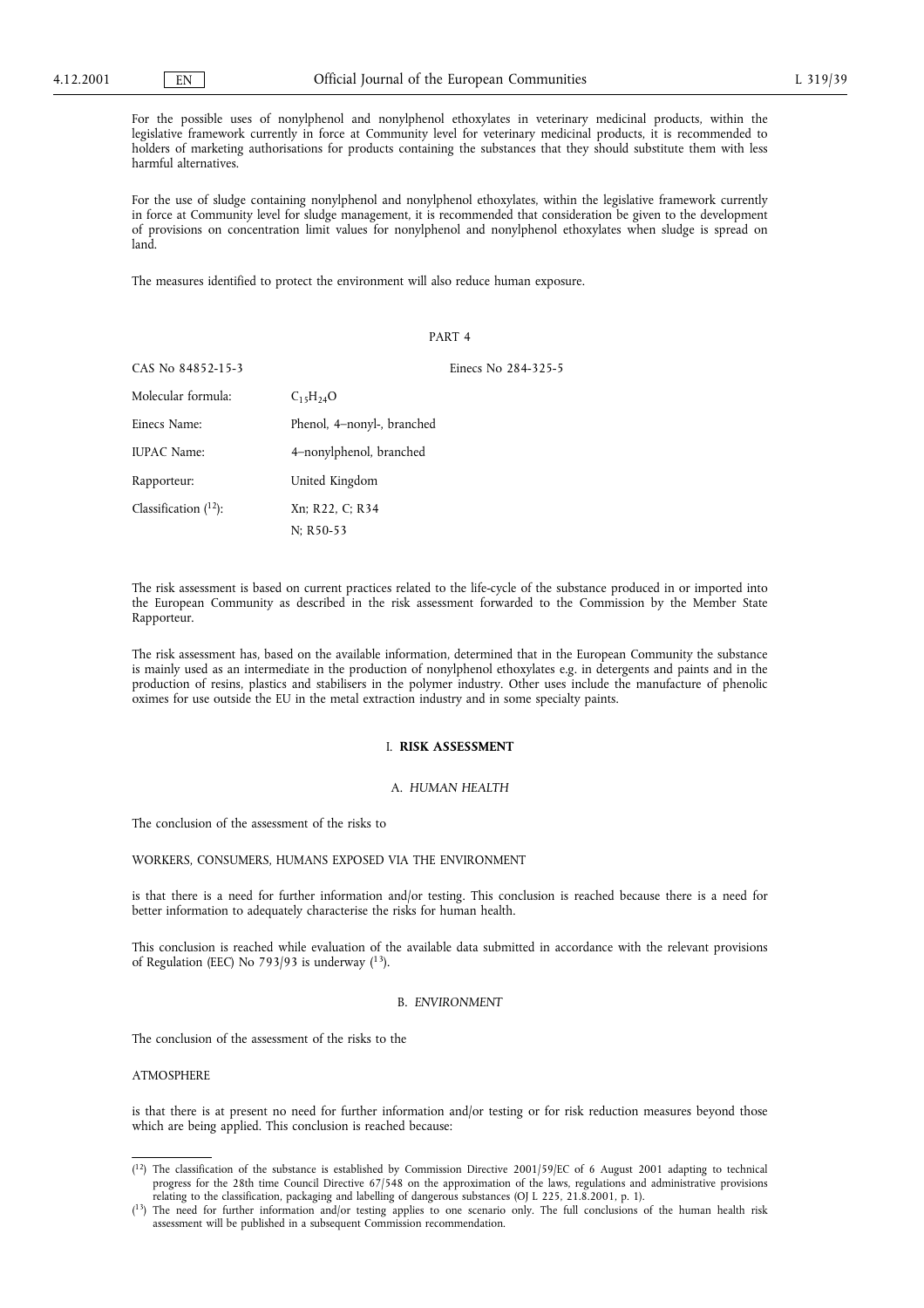For the possible uses of nonylphenol and nonylphenol ethoxylates in veterinary medicinal products, within the legislative framework currently in force at Community level for veterinary medicinal products, it is recommended to holders of marketing authorisations for products containing the substances that they should substitute them with less harmful alternatives.

For the use of sludge containing nonylphenol and nonylphenol ethoxylates, within the legislative framework currently in force at Community level for sludge management, it is recommended that consideration be given to the development of provisions on concentration limit values for nonylphenol and nonylphenol ethoxylates when sludge is spread on land.

The measures identified to protect the environment will also reduce human exposure.

|                            | PART <sub>4</sub>          |                     |
|----------------------------|----------------------------|---------------------|
| CAS No 84852-15-3          |                            | Einecs No 284-325-5 |
| Molecular formula:         | $C_{15}H_{24}O$            |                     |
| Einecs Name:               | Phenol, 4-nonyl-, branched |                     |
| <b>IUPAC</b> Name:         | 4-nonylphenol, branched    |                     |
| Rapporteur:                | United Kingdom             |                     |
| Classification $(^{12})$ : | Xn; R22, C; R34            |                     |
|                            | $N: R50-53$                |                     |

The risk assessment is based on current practices related to the life-cycle of the substance produced in or imported into the European Community as described in the risk assessment forwarded to the Commission by the Member State Rapporteur.

The risk assessment has, based on the available information, determined that in the European Community the substance is mainly used as an intermediate in the production of nonylphenol ethoxylates e.g. in detergents and paints and in the production of resins, plastics and stabilisers in the polymer industry. Other uses include the manufacture of phenolic oximes for use outside the EU in the metal extraction industry and in some specialty paints.

#### I. RISK ASSESSMENT

#### A. HUMAN HEALTH

The conclusion of the assessment of the risks to

#### WORKERS, CONSUMERS, HUMANS EXPOSED VIA THE ENVIRONMENT

is that there is a need for further information and/or testing. This conclusion is reached because there is a need for better information to adequately characterise the risks for human health.

This conclusion is reached while evaluation of the available data submitted in accordance with the relevant provisions of Regulation (EEC) No 793/93 is underway  $(^{13})$ .

#### B. ENVIRONMENT

The conclusion of the assessment of the risks to the

ATMOSPHERE

is that there is at present no need for further information and/or testing or for risk reduction measures beyond those which are being applied. This conclusion is reached because:

 $(1^2)$  The classification of the substance is established by Commission Directive 2001/59/EC of 6 August 2001 adapting to technical progress for the 28th time Council Directive 67/548 on the approximation of the laws, regulations and administrative provisions relating to the classification, packaging and labelling of dangerous substances (OJ L 225, 21.8.2001, p. 1).

 $(1<sup>3</sup>)$  The need for further information and/or testing applies to one scenario only. The full conclusions of the human health risk assessment will be published in a subsequent Commission recommendation.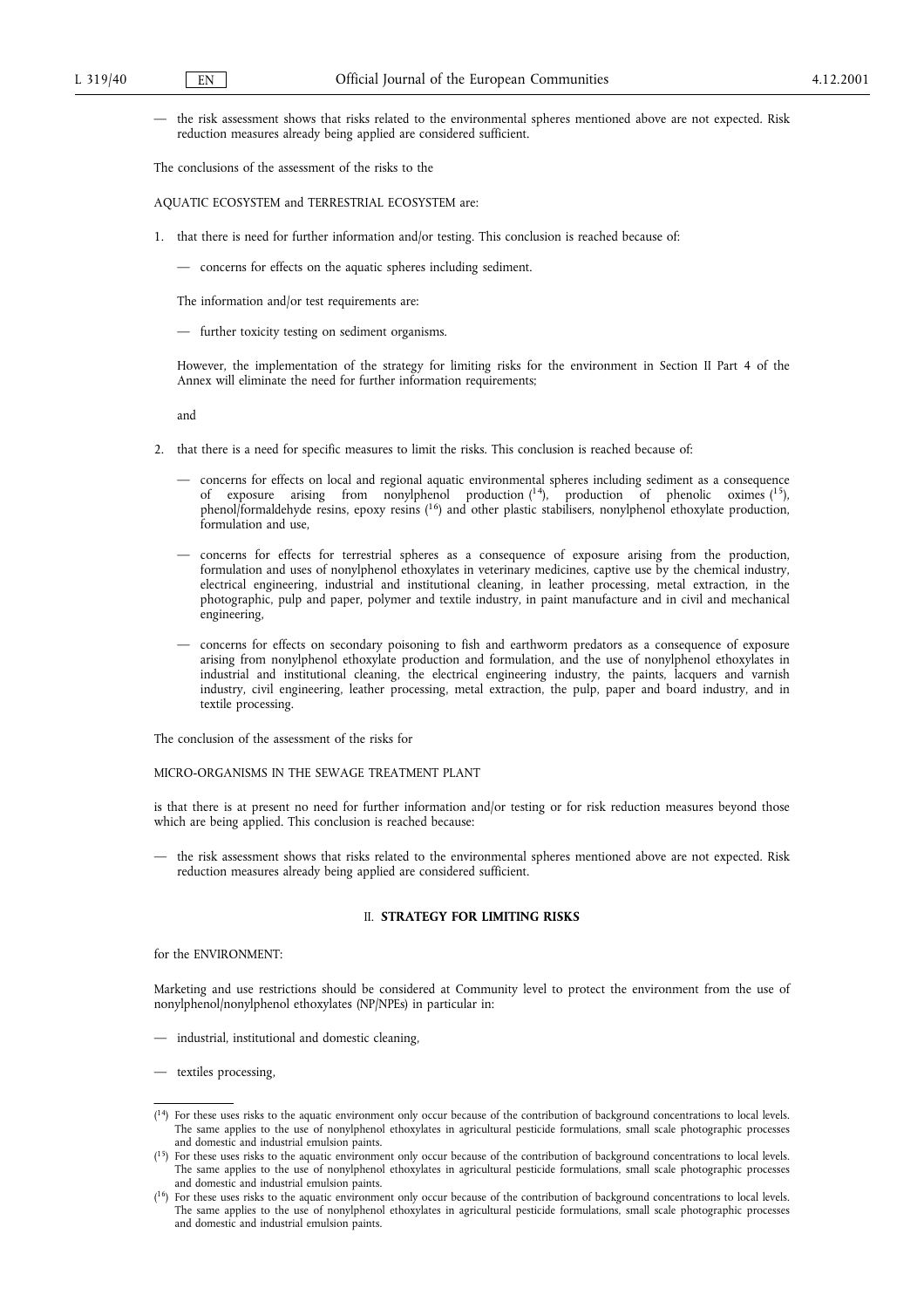the risk assessment shows that risks related to the environmental spheres mentioned above are not expected. Risk reduction measures already being applied are considered sufficient.

The conclusions of the assessment of the risks to the

#### AQUATIC ECOSYSTEM and TERRESTRIAL ECOSYSTEM are:

- 1. that there is need for further information and/or testing. This conclusion is reached because of:
	- concerns for effects on the aquatic spheres including sediment.

The information and/or test requirements are:

- further toxicity testing on sediment organisms.

However, the implementation of the strategy for limiting risks for the environment in Section II Part 4 of the Annex will eliminate the need for further information requirements;

and

- 2. that there is a need for specific measures to limit the risks. This conclusion is reached because of:
	- concerns for effects on local and regional aquatic environmental spheres including sediment as a consequence of exposure arising from nonylphenol production  $(14)$ , production of phenolic oximes  $(15)$ , phenol/formaldehyde resins, epoxy resins (16) and other plastic stabilisers, nonylphenol ethoxylate production, formulation and use
	- concerns for effects for terrestrial spheres as a consequence of exposure arising from the production, formulation and uses of nonylphenol ethoxylates in veterinary medicines, captive use by the chemical industry, electrical engineering, industrial and institutional cleaning, in leather processing, metal extraction, in the photographic, pulp and paper, polymer and textile industry, in paint manufacture and in civil and mechanical engineering,
	- concerns for effects on secondary poisoning to fish and earthworm predators as a consequence of exposure arising from nonylphenol ethoxylate production and formulation, and the use of nonylphenol ethoxylates in industrial and institutional cleaning, the electrical engineering industry, the paints, lacquers and varnish industry, civil engineering, leather processing, metal extraction, the pulp, paper and board industry, and in textile processing.

The conclusion of the assessment of the risks for

#### MICRO-ORGANISMS IN THE SEWAGE TREATMENT PLANT

is that there is at present no need for further information and/or testing or for risk reduction measures beyond those which are being applied. This conclusion is reached because:

- the risk assessment shows that risks related to the environmental spheres mentioned above are not expected. Risk reduction measures already being applied are considered sufficient.

## II. STRATEGY FOR LIMITING RISKS

for the ENVIRONMENT:

Marketing and use restrictions should be considered at Community level to protect the environment from the use of nonylphenol/nonylphenol ethoxylates (NP/NPEs) in particular in:

- industrial, institutional and domestic cleaning,
- textiles processing,

 $(14)$  For these uses risks to the aquatic environment only occur because of the contribution of background concentrations to local levels. The same applies to the use of nonylphenol ethoxylates in agricultural pesticide formulations, small scale photographic processes and domestic and industrial emulsion paints.

 $(1^5)$  For these uses risks to the aquatic environment only occur because of the contribution of background concentrations to local levels. The same applies to the use of nonylphenol ethoxylates in agricultural pesticide formulations, small scale photographic processes and domestic and industrial emulsion paints.

 $(16)$  For these uses risks to the aquatic environment only occur because of the contribution of background concentrations to local levels. The same applies to the use of nonylphenol ethoxylates in agricultural pesticide formulations, small scale photographic processes and domestic and industrial emulsion paints.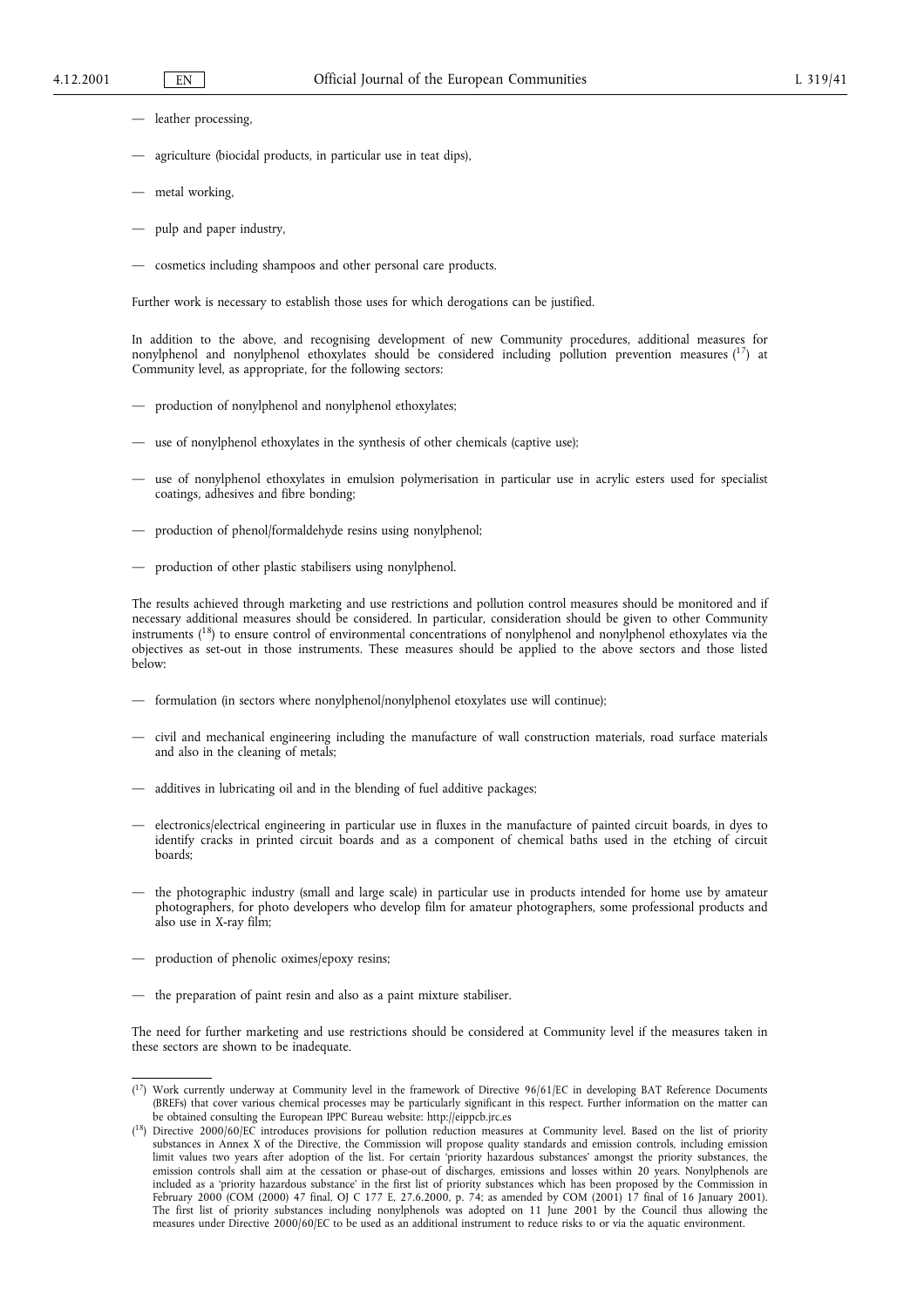- leather processing,
- agriculture (biocidal products, in particular use in teat dips),
- metal working,
- pulp and paper industry,
- cosmetics including shampoos and other personal care products.

Further work is necessary to establish those uses for which derogations can be justified.

In addition to the above, and recognising development of new Community procedures, additional measures for nonylphenol and nonylphenol ethoxylates should be considered including pollution prevention measures (17) at Community level, as appropriate, for the following sectors:

- production of nonylphenol and nonylphenol ethoxylates;
- use of nonylphenol ethoxylates in the synthesis of other chemicals (captive use);
- use of nonylphenol ethoxylates in emulsion polymerisation in particular use in acrylic esters used for specialist coatings, adhesives and fibre bonding;
- production of phenol/formaldehyde resins using nonylphenol;
- production of other plastic stabilisers using nonylphenol.

The results achieved through marketing and use restrictions and pollution control measures should be monitored and if necessary additional measures should be considered. In particular, consideration should be given to other Community instruments (18) to ensure control of environmental concentrations of nonylphenol and nonylphenol ethoxylates via the objectives as set-out in those instruments. These measures should be applied to the above sectors and those listed below:

- formulation (in sectors where nonylphenol/nonylphenol etoxylates use will continue);
- civil and mechanical engineering including the manufacture of wall construction materials, road surface materials and also in the cleaning of metals;
- additives in lubricating oil and in the blending of fuel additive packages;
- electronics/electrical engineering in particular use in fluxes in the manufacture of painted circuit boards, in dyes to identify cracks in printed circuit boards and as a component of chemical baths used in the etching of circuit boards;
- the photographic industry (small and large scale) in particular use in products intended for home use by amateur photographers, for photo developers who develop film for amateur photographers, some professional products and also use in X-ray film;
- production of phenolic oximes/epoxy resins;
- the preparation of paint resin and also as a paint mixture stabiliser.

The need for further marketing and use restrictions should be considered at Community level if the measures taken in these sectors are shown to be inadequate.

 $(1^7)$  Work currently underway at Community level in the framework of Directive 96/61/EC in developing BAT Reference Documents (BREFs) that cover various chemical processes may be particularly significant in this respect. Further information on the matter can be obtained consulting the European IPPC Bureau website: http://eippcb.jrc.es

<sup>&</sup>lt;sup>(18</sup>) Directive 2000/60/EC introduces provisions for pollution reduction measures at Community level. Based on the list of priority substances in Annex X of the Directive, the Commission will propose quality standards and emission controls, including emission limit values two years after adoption of the list. For certain 'priority hazardous substances' amongst the priority substances, the emission controls shall aim at the cessation or phase-out of discharges, emissions and losses within 20 years. Nonylphenols are included as a 'priority hazardous substance' in the first list of priority substances which has been proposed by the Commission in February 2000 (COM (2000) 47 final, OJ C 177 E, 27.6.2000, p. 74; as amended by COM (2001) 17 final of 16 January 2001). The first list of priority substances including nonylphenols was adopted on 11 June 2001 by the Council thus allowing the measures under Directive 2000/60/EC to be used as an additional instrument to reduce risks to or via the aquatic environment.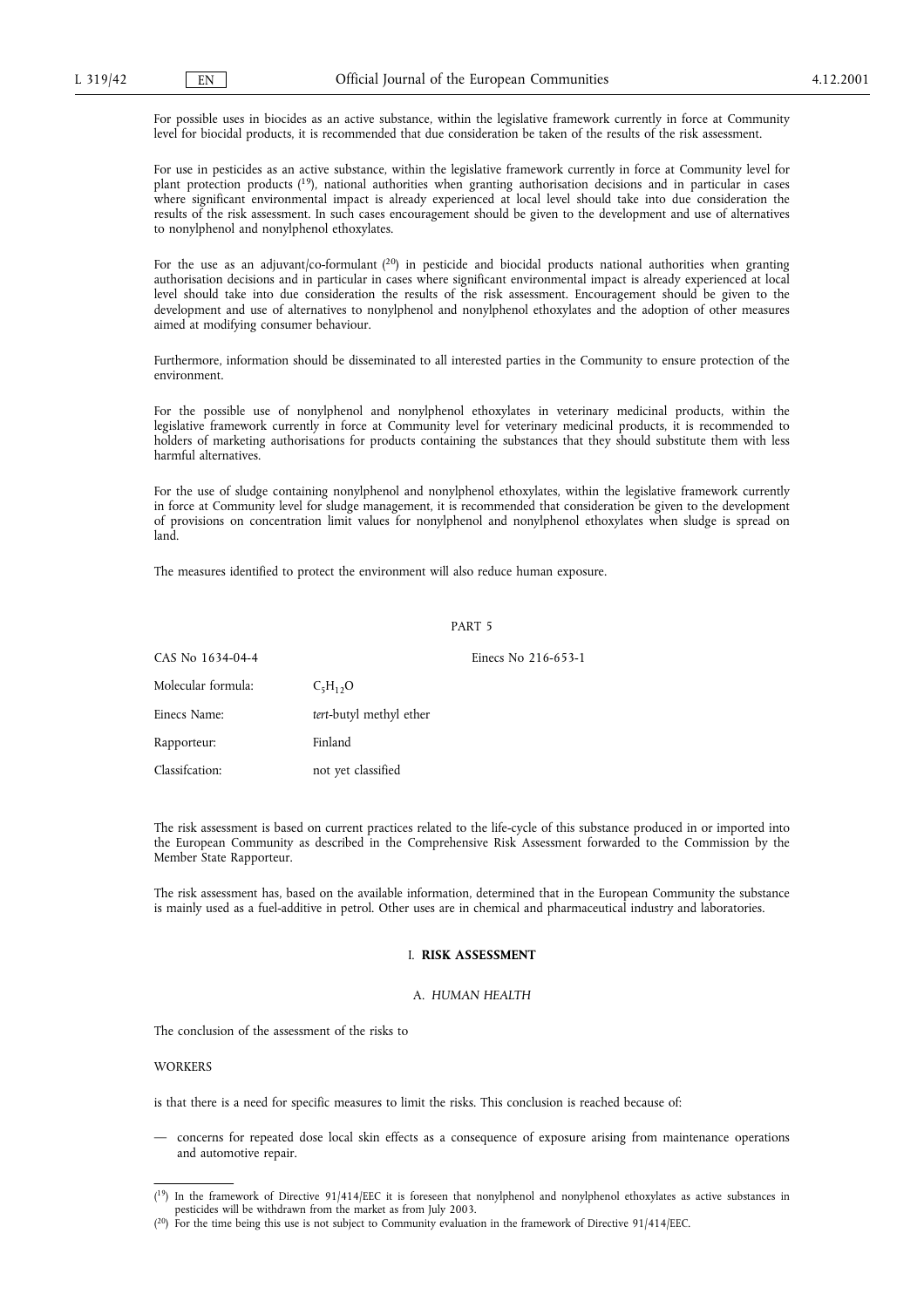For possible uses in biocides as an active substance, within the legislative framework currently in force at Community level for biocidal products, it is recommended that due consideration be taken of the results of the risk assessment.

For use in pesticides as an active substance, within the legislative framework currently in force at Community level for plant protection products (19), national authorities when granting authorisation decisions and in particular in cases where significant environmental impact is already experienced at local level should take into due consideration the results of the risk assessment. In such cases encouragement should be given to the development and use of alternatives to nonylphenol and nonylphenol ethoxylates.

For the use as an adjuvant/co-formulant  $(20)$  in pesticide and biocidal products national authorities when granting authorisation decisions and in particular in cases where significant environmental impact is already experienced at local level should take into due consideration the results of the risk assessment. Encouragement should be given to the development and use of alternatives to nonylphenol and nonylphenol ethoxylates and the adoption of other measures aimed at modifying consumer behaviour.

Furthermore, information should be disseminated to all interested parties in the Community to ensure protection of the environment.

For the possible use of nonylphenol and nonylphenol ethoxylates in veterinary medicinal products, within the legislative framework currently in force at Community level for veterinary medicinal products, it is recommended to holders of marketing authorisations for products containing the substances that they should substitute them with less harmful alternatives.

For the use of sludge containing nonylphenol and nonylphenol ethoxylates, within the legislative framework currently in force at Community level for sludge management, it is recommended that consideration be given to the development of provisions on concentration limit values for nonylphenol and nonylphenol ethoxylates when sludge is spread on land.

The measures identified to protect the environment will also reduce human exposure.

#### PART 5

| CAS No 1634-04-4   |                         | Einecs No 216-653-1 |
|--------------------|-------------------------|---------------------|
| Molecular formula: | $C_5H_{12}O$            |                     |
| Einecs Name:       | tert-butyl methyl ether |                     |
| Rapporteur:        | Finland                 |                     |
| Classifcation:     | not yet classified      |                     |

The risk assessment is based on current practices related to the life-cycle of this substance produced in or imported into the European Community as described in the Comprehensive Risk Assessment forwarded to the Commission by the Member State Rapporteur.

The risk assessment has, based on the available information, determined that in the European Community the substance is mainly used as a fuel-additive in petrol. Other uses are in chemical and pharmaceutical industry and laboratories.

#### I. RISK ASSESSMENT

## A. HUMAN HEALTH

The conclusion of the assessment of the risks to

### **WORKERS**

is that there is a need for specific measures to limit the risks. This conclusion is reached because of:

 concerns for repeated dose local skin effects as a consequence of exposure arising from maintenance operations and automotive repair.

<sup>(&</sup>lt;sup>19</sup>) In the framework of Directive 91/414/EEC it is foreseen that nonylphenol and nonylphenol ethoxylates as active substances in pesticides will be withdrawn from the market as from July 2003.

 $(2^0)$  For the time being this use is not subject to Community evaluation in the framework of Directive 91/414/EEC.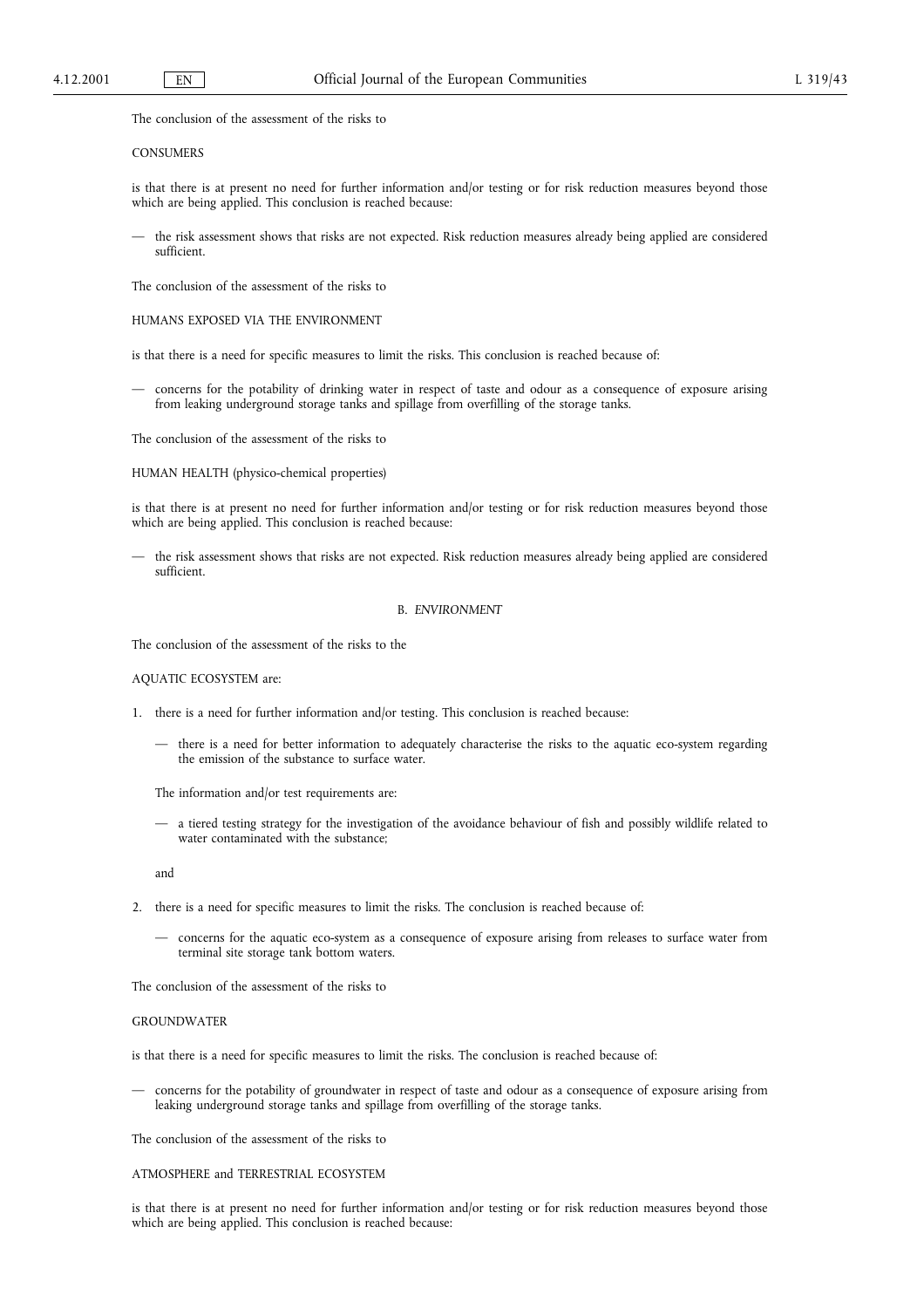The conclusion of the assessment of the risks to

#### **CONSUMERS**

is that there is at present no need for further information and/or testing or for risk reduction measures beyond those which are being applied. This conclusion is reached because:

 the risk assessment shows that risks are not expected. Risk reduction measures already being applied are considered sufficient.

The conclusion of the assessment of the risks to

HUMANS EXPOSED VIA THE ENVIRONMENT

is that there is a need for specific measures to limit the risks. This conclusion is reached because of:

- concerns for the potability of drinking water in respect of taste and odour as a consequence of exposure arising from leaking underground storage tanks and spillage from overfilling of the storage tanks.

The conclusion of the assessment of the risks to

HUMAN HEALTH (physico-chemical properties)

is that there is at present no need for further information and/or testing or for risk reduction measures beyond those which are being applied. This conclusion is reached because:

 the risk assessment shows that risks are not expected. Risk reduction measures already being applied are considered sufficient.

#### B. ENVIRONMENT

The conclusion of the assessment of the risks to the

#### AQUATIC ECOSYSTEM are:

- 1. there is a need for further information and/or testing. This conclusion is reached because:
	- there is a need for better information to adequately characterise the risks to the aquatic eco-system regarding the emission of the substance to surface water.

The information and/or test requirements are:

 a tiered testing strategy for the investigation of the avoidance behaviour of fish and possibly wildlife related to water contaminated with the substance;

and

- 2. there is a need for specific measures to limit the risks. The conclusion is reached because of:
	- concerns for the aquatic eco-system as a consequence of exposure arising from releases to surface water from terminal site storage tank bottom waters.

The conclusion of the assessment of the risks to

# GROUNDWATER

is that there is a need for specific measures to limit the risks. The conclusion is reached because of:

 concerns for the potability of groundwater in respect of taste and odour as a consequence of exposure arising from leaking underground storage tanks and spillage from overfilling of the storage tanks.

The conclusion of the assessment of the risks to

ATMOSPHERE and TERRESTRIAL ECOSYSTEM

is that there is at present no need for further information and/or testing or for risk reduction measures beyond those which are being applied. This conclusion is reached because: